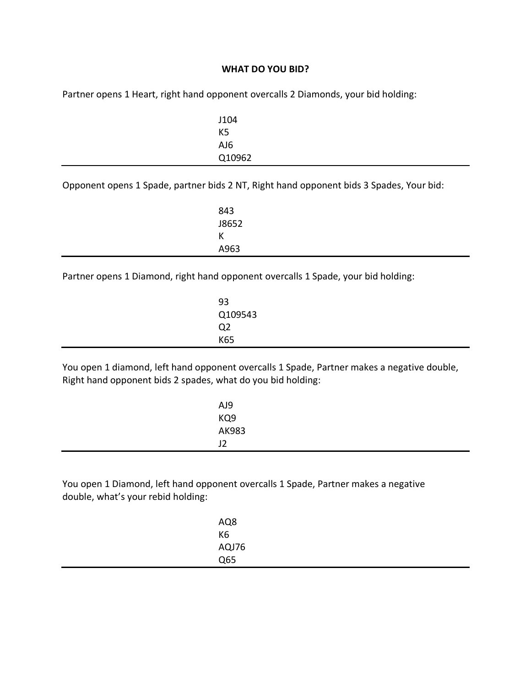## **WHAT DO YOU BID?**

Partner opens 1 Heart, right hand opponent overcalls 2 Diamonds, your bid holding:

| J104           |
|----------------|
| K <sub>5</sub> |
| AJ6            |
| Q10962         |

Opponent opens 1 Spade, partner bids 2 NT, Right hand opponent bids 3 Spades, Your bid:

| 843   |
|-------|
| J8652 |
| N     |
| A963  |

Partner opens 1 Diamond, right hand opponent overcalls 1 Spade, your bid holding:

| 93<br>Q109543  |
|----------------|
|                |
| Q <sub>2</sub> |
| K65            |
|                |

You open 1 diamond, left hand opponent overcalls 1 Spade, Partner makes a negative double, Right hand opponent bids 2 spades, what do you bid holding:

| AJ9          |
|--------------|
| KQ9<br>AK983 |
|              |
| J2           |
|              |

You open 1 Diamond, left hand opponent overcalls 1 Spade, Partner makes a negative double, what's your rebid holding:

| AQ8   |
|-------|
| K6    |
| AQJ76 |
| Q65   |